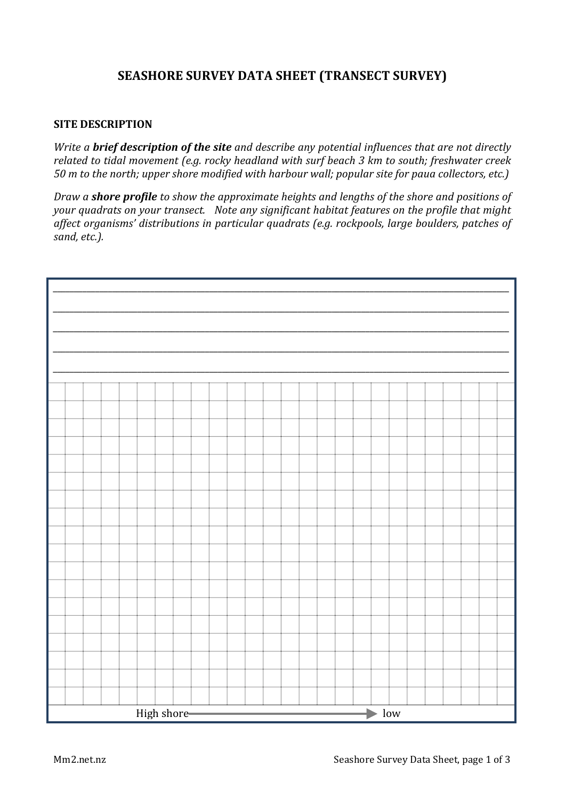## **SEASHORE SURVEY DATA SHEET (TRANSECT SURVEY)**

## **SITE DESCRIPTION**

*Write* a **brief description of the site** and describe any potential influences that are not directly *related to tidal movement (e.g. rocky headland with surf beach 3 km to south; freshwater creek 50* m to the north; upper shore modified with harbour wall; popular site for paua collectors, etc.)

*Draw* a **shore profile** to show the approximate heights and lengths of the shore and positions of *your* quadrats on your transect. Note any significant habitat features on the profile that might affect organisms' distributions in particular quadrats (e.g. rockpools, large boulders, patches of *sand, etc.).* 

|  |  |  |  |  |  | High shore- |  |  |  |  |  |  |  | <b>Contract Contract Contract</b> | $\blacktriangleright$ low |  |  |  |  |
|--|--|--|--|--|--|-------------|--|--|--|--|--|--|--|-----------------------------------|---------------------------|--|--|--|--|
|  |  |  |  |  |  |             |  |  |  |  |  |  |  |                                   |                           |  |  |  |  |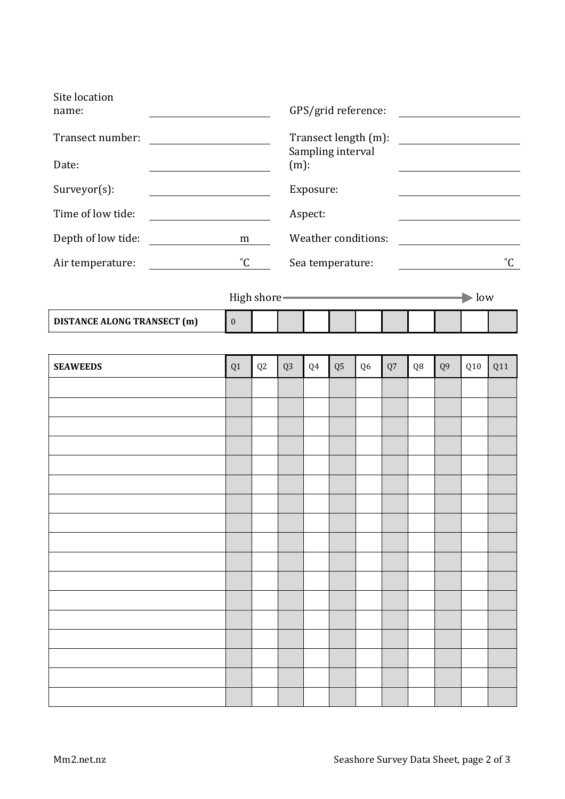| Site location<br>name:                                      | GPS/grid reference:                               |                                  |                                                                                                 |         |                |                     |    |                |                           |                   |     |  |  |  |  |
|-------------------------------------------------------------|---------------------------------------------------|----------------------------------|-------------------------------------------------------------------------------------------------|---------|----------------|---------------------|----|----------------|---------------------------|-------------------|-----|--|--|--|--|
| Transect number:<br><u> 1980 - Johann Barbara, martxa a</u> |                                                   |                                  | Transect length (m):<br><u> 1980 - Jan Barbara Barat, prima politik po</u><br>Sampling interval |         |                |                     |    |                |                           |                   |     |  |  |  |  |
| Date:                                                       |                                                   | $(m)$ :                          |                                                                                                 |         |                |                     |    |                |                           |                   |     |  |  |  |  |
| Surveyor(s):                                                |                                                   |                                  | Exposure:                                                                                       |         |                |                     |    |                |                           |                   |     |  |  |  |  |
| Time of low tide:                                           |                                                   |                                  |                                                                                                 | Aspect: |                |                     |    |                |                           |                   |     |  |  |  |  |
| Depth of low tide:                                          |                                                   | m                                |                                                                                                 |         |                | Weather conditions: |    |                |                           |                   |     |  |  |  |  |
| Air temperature:                                            |                                                   | $^{\circ}$ C<br>Sea temperature: |                                                                                                 |         |                |                     |    |                |                           | $^{\circ}{\rm C}$ |     |  |  |  |  |
|                                                             | High shore <b>Container and Separate Services</b> |                                  |                                                                                                 |         |                |                     |    |                | $\blacktriangleright$ low |                   |     |  |  |  |  |
| <b>DISTANCE ALONG TRANSECT (m)</b>                          | $\boldsymbol{0}$                                  |                                  |                                                                                                 |         |                |                     |    |                |                           |                   |     |  |  |  |  |
|                                                             |                                                   |                                  |                                                                                                 |         |                |                     |    |                |                           |                   |     |  |  |  |  |
| <b>SEAWEEDS</b>                                             | Q1                                                | Q <sub>2</sub>                   | Q <sub>3</sub>                                                                                  | Q4      | Q <sub>5</sub> | Q <sub>6</sub>      | Q7 | Q <sub>8</sub> | Q <sub>9</sub>            | Q10               | Q11 |  |  |  |  |
|                                                             |                                                   |                                  |                                                                                                 |         |                |                     |    |                |                           |                   |     |  |  |  |  |
|                                                             |                                                   |                                  |                                                                                                 |         |                |                     |    |                |                           |                   |     |  |  |  |  |
|                                                             |                                                   |                                  |                                                                                                 |         |                |                     |    |                |                           |                   |     |  |  |  |  |
|                                                             |                                                   |                                  |                                                                                                 |         |                |                     |    |                |                           |                   |     |  |  |  |  |
|                                                             |                                                   |                                  |                                                                                                 |         |                |                     |    |                |                           |                   |     |  |  |  |  |
|                                                             |                                                   |                                  |                                                                                                 |         |                |                     |    |                |                           |                   |     |  |  |  |  |
|                                                             |                                                   |                                  |                                                                                                 |         |                |                     |    |                |                           |                   |     |  |  |  |  |
|                                                             |                                                   |                                  |                                                                                                 |         |                |                     |    |                |                           |                   |     |  |  |  |  |
|                                                             |                                                   |                                  |                                                                                                 |         |                |                     |    |                |                           |                   |     |  |  |  |  |
|                                                             |                                                   |                                  |                                                                                                 |         |                |                     |    |                |                           |                   |     |  |  |  |  |
|                                                             |                                                   |                                  |                                                                                                 |         |                |                     |    |                |                           |                   |     |  |  |  |  |
|                                                             |                                                   |                                  |                                                                                                 |         |                |                     |    |                |                           |                   |     |  |  |  |  |
|                                                             |                                                   |                                  |                                                                                                 |         |                |                     |    |                |                           |                   |     |  |  |  |  |
|                                                             |                                                   |                                  |                                                                                                 |         |                |                     |    |                |                           |                   |     |  |  |  |  |